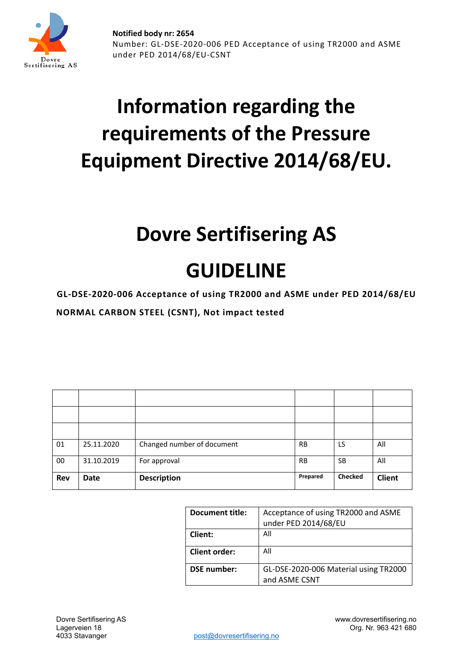

# **Information regarding the requirements of the Pressure Equipment Directive 2014/68/EU.**

## **Dovre Sertifisering AS**

## **GUIDELINE**

**GL-DSE-2020-006 Acceptance of using TR2000 and ASME under PED 2014/68/EU NORMAL CARBON STEEL (CSNT), Not impact tested**

| 01         | 25.11.2020  | Changed number of document | <b>RB</b> | LS             | All           |
|------------|-------------|----------------------------|-----------|----------------|---------------|
| 00         | 31.10.2019  | For approval               | <b>RB</b> | <b>SB</b>      | All           |
| <b>Rev</b> | <b>Date</b> | <b>Description</b>         | Prepared  | <b>Checked</b> | <b>Client</b> |

| <b>Document title:</b> | Acceptance of using TR2000 and ASME<br>under PED 2014/68/EU |
|------------------------|-------------------------------------------------------------|
| Client:                | All                                                         |
| <b>Client order:</b>   | All                                                         |
| <b>DSE</b> number:     | GL-DSE-2020-006 Material using TR2000<br>and ASME CSNT      |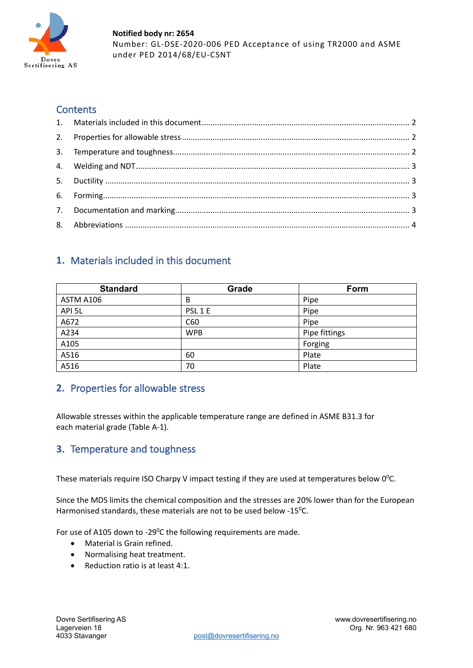

#### **Contents**

### <span id="page-1-0"></span>**1.** Materials included in this document

| <b>Standard</b> | Grade      | Form          |
|-----------------|------------|---------------|
| ASTM A106       | B          | Pipe          |
| API 5L          | PSL 1 E    | Pipe          |
| A672            | C60        | Pipe          |
| A234            | <b>WPB</b> | Pipe fittings |
| A105            |            | Forging       |
| A516            | 60         | Plate         |
| A516            | 70         | Plate         |

#### <span id="page-1-1"></span>**2.** Properties for allowable stress

Allowable stresses within the applicable temperature range are defined in ASME B31.3 for each material grade (Table A-1).

#### <span id="page-1-2"></span>**3.** Temperature and toughness

These materials require ISO Charpy V impact testing if they are used at temperatures below  $0^0$ C.

Since the MDS limits the chemical composition and the stresses are 20% lower than for the European Harmonised standards, these materials are not to be used below - $15^{\circ}$ C.

For use of A105 down to -29 $^0$ C the following requirements are made.

- Material is Grain refined.
- Normalising heat treatment.
- Reduction ratio is at least 4:1.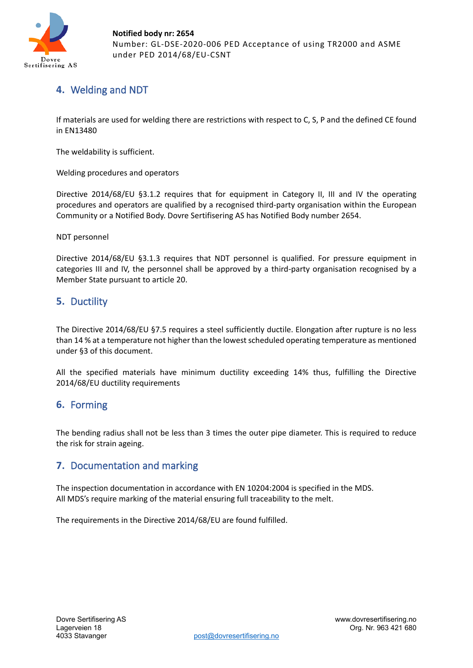

**Notified body nr: 2654** Number: GL-DSE-2020-006 PED Acceptance of using TR2000 and ASME under PED 2014/68/EU-CSNT

## <span id="page-2-0"></span>**4.** Welding and NDT

If materials are used for welding there are restrictions with respect to C, S, P and the defined CE found in EN13480

The weldability is sufficient.

Welding procedures and operators

Directive 2014/68/EU §3.1.2 requires that for equipment in Category II, III and IV the operating procedures and operators are qualified by a recognised third-party organisation within the European Community or a Notified Body. Dovre Sertifisering AS has Notified Body number 2654.

NDT personnel

Directive 2014/68/EU §3.1.3 requires that NDT personnel is qualified. For pressure equipment in categories III and IV, the personnel shall be approved by a third-party organisation recognised by a Member State pursuant to article 20.

#### <span id="page-2-1"></span>**5.** Ductility

The Directive 2014/68/EU §7.5 requires a steel sufficiently ductile. Elongation after rupture is no less than 14 % at a temperature not higher than the lowest scheduled operating temperature as mentioned under §3 of this document.

All the specified materials have minimum ductility exceeding 14% thus, fulfilling the Directive 2014/68/EU ductility requirements

#### <span id="page-2-2"></span>**6.** Forming

The bending radius shall not be less than 3 times the outer pipe diameter. This is required to reduce the risk for strain ageing.

#### <span id="page-2-3"></span>**7.** Documentation and marking

The inspection documentation in accordance with EN 10204:2004 is specified in the MDS. All MDS's require marking of the material ensuring full traceability to the melt.

The requirements in the Directive 2014/68/EU are found fulfilled.